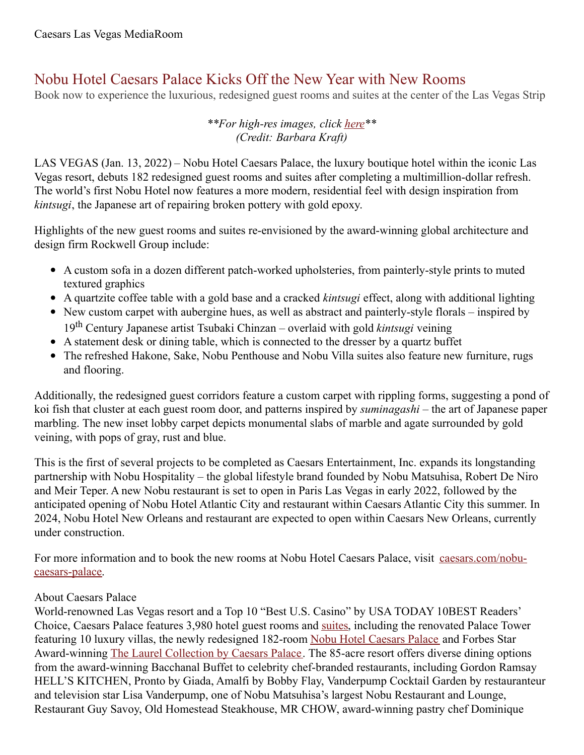# Nobu Hotel Caesars Palace Kicks Off the New Year with New Rooms

Book now to experience the luxurious, redesigned guest rooms and suites at the center of the Las Vegas Strip

## *\*\*For high-res images, click [here](https://www.dropbox.com/sh/p7t73wzzzghgdlv/AAClcAaq9oykonxpXmHTEl1ra?dl=0)\*\* (Credit: Barbara Kraft)*

LAS VEGAS (Jan. 13, 2022) – Nobu Hotel Caesars Palace, the luxury boutique hotel within the iconic Las Vegas resort, debuts 182 redesigned guest rooms and suites after completing a multimillion-dollar refresh. The world's first Nobu Hotel now features a more modern, residential feel with design inspiration from *kintsugi*, the Japanese art of repairing broken pottery with gold epoxy.

Highlights of the new guest rooms and suites re-envisioned by the award-winning global architecture and design firm Rockwell Group include:

- A custom sofa in a dozen different patch-worked upholsteries, from painterly-style prints to muted textured graphics
- A quartzite coffee table with a gold base and a cracked *kintsugi* effect, along with additional lighting
- New custom carpet with aubergine hues, as well as abstract and painterly-style florals inspired by 19 th Century Japanese artist Tsubaki Chinzan – overlaid with gold *kintsugi* veining
- A statement desk or dining table, which is connected to the dresser by a quartz buffet
- The refreshed Hakone, Sake, Nobu Penthouse and Nobu Villa suites also feature new furniture, rugs and flooring.

Additionally, the redesigned guest corridors feature a custom carpet with rippling forms, suggesting a pond of koi fish that cluster at each guest room door, and patterns inspired by *suminagashi* – the art of Japanese paper marbling. The new inset lobby carpet depicts monumental slabs of marble and agate surrounded by gold veining, with pops of gray, rust and blue.

This is the first of several projects to be completed as Caesars Entertainment, Inc. expands its longstanding partnership with Nobu Hospitality – the global lifestyle brand founded by Nobu Matsuhisa, Robert De Niro and Meir Teper. A new Nobu restaurant is set to open in Paris Las Vegas in early 2022, followed by the anticipated opening of Nobu Hotel Atlantic City and restaurant within Caesars Atlantic City this summer. In 2024, Nobu Hotel New Orleans and restaurant are expected to open within Caesars New Orleans, currently under construction.

For more information and to book the new rooms at Nobu Hotel Caesars Palace, visit [caesars.com/nobu](https://www.caesars.com/nobu-caesars-palace)caesars-palace.

## About Caesars Palace

World-renowned Las Vegas resort and a Top 10 "Best U.S. Casino" by USA TODAY 10BEST Readers' Choice, Caesars Palace features 3,980 hotel guest rooms and [suites](https://www.caesars.com/las-vegas/suites), including the renovated Palace Tower featuring 10 luxury villas, the newly redesigned 182-room Nobu Hotel [Caesars](https://www.caesars.com/nobu-caesars-palace) Palace and Forbes Star Award-winning The Laurel [Collection](https://www.caesars.com/caesars-palace/hotel) by Caesars Palace. The 85-acre resort offers diverse dining options from the award-winning Bacchanal Buffet to celebrity chef-branded restaurants, including Gordon Ramsay HELL'S KITCHEN, Pronto by Giada, Amalfi by Bobby Flay, Vanderpump Cocktail Garden by restauranteur and television star Lisa Vanderpump, one of Nobu Matsuhisa's largest Nobu Restaurant and Lounge, Restaurant Guy Savoy, Old Homestead Steakhouse, MR CHOW, award-winning pastry chef Dominique